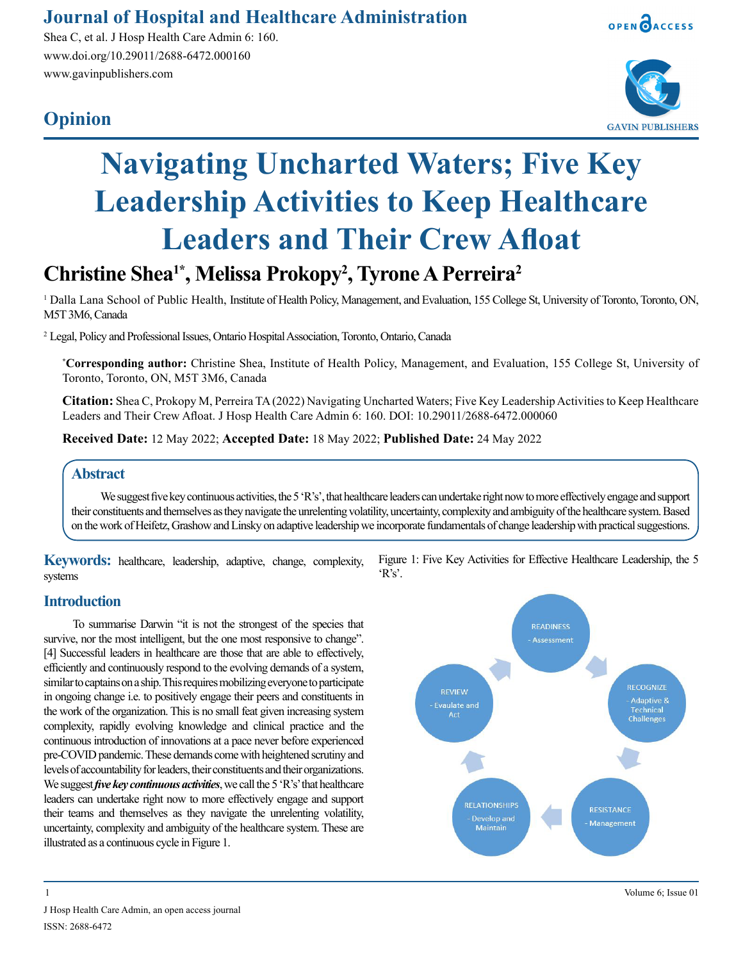### **Journal of Hospital and Healthcare Administration**

Shea C, et al. J Hosp Health Care Admin 6: 160. www.doi.org/10.29011/2688-6472.000160 www.gavinpublishers.com

## **Opinion**





# **Navigating Uncharted Waters; Five Key Leadership Activities to Keep Healthcare Leaders and Their Crew Afloat**

## **Christine Shea1\*, Melissa Prokopy2 , Tyrone A Perreira2**

<sup>1</sup> Dalla Lana School of Public Health, Institute of Health Policy, Management, and Evaluation, 155 College St, University of Toronto, Toronto, ON, M5T 3M6, Canada

2 Legal, Policy and Professional Issues, Ontario Hospital Association, Toronto, Ontario, Canada

**\* Corresponding author:** Christine Shea, Institute of Health Policy, Management, and Evaluation, 155 College St, University of Toronto, Toronto, ON, M5T 3M6, Canada

**Citation:** Shea C, Prokopy M, Perreira TA (2022) Navigating Uncharted Waters; Five Key Leadership Activities to Keep Healthcare Leaders and Their Crew Afloat. J Hosp Health Care Admin 6: 160. DOI: 10.29011/2688-6472.000060

**Received Date:** 12 May 2022; **Accepted Date:** 18 May 2022; **Published Date:** 24 May 2022

#### **Abstract**

We suggest five key continuous activities, the 5 'R's', that healthcare leaders can undertake right now to more effectively engage and support their constituents and themselves as they navigate the unrelenting volatility, uncertainty, complexity and ambiguity of the healthcare system. Based on the work of Heifetz, Grashow and Linsky on adaptive leadership we incorporate fundamentals of change leadership with practical suggestions.

**Keywords:** healthcare, leadership, adaptive, change, complexity, systems

#### **Introduction**

To summarise Darwin "it is not the strongest of the species that survive, nor the most intelligent, but the one most responsive to change". [4] Successful leaders in healthcare are those that are able to effectively, efficiently and continuously respond to the evolving demands of a system, similar to captains on a ship. This requires mobilizing everyone to participate in ongoing change i.e. to positively engage their peers and constituents in the work of the organization. This is no small feat given increasing system complexity, rapidly evolving knowledge and clinical practice and the continuous introduction of innovations at a pace never before experienced pre-COVID pandemic. These demands come with heightened scrutiny and levels of accountability for leaders, their constituents and their organizations. We suggest *five key continuous activities*, we call the 5 'R's' that healthcare leaders can undertake right now to more effectively engage and support their teams and themselves as they navigate the unrelenting volatility, uncertainty, complexity and ambiguity of the healthcare system. These are illustrated as a continuous cycle in Figure 1.

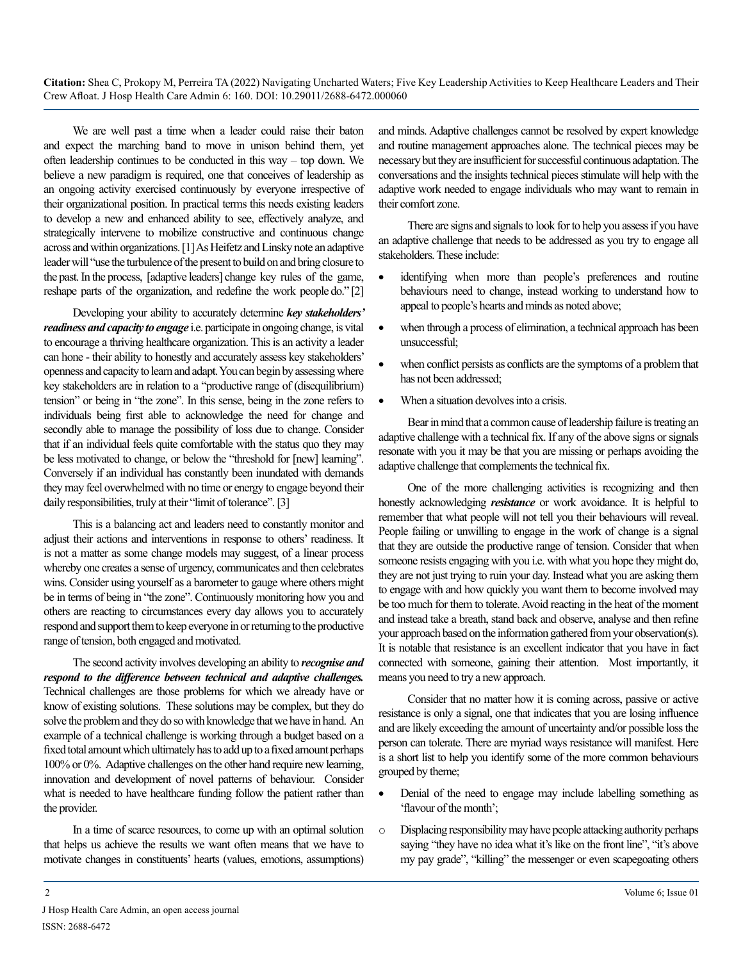**Citation:** Shea C, Prokopy M, Perreira TA (2022) Navigating Uncharted Waters; Five Key Leadership Activities to Keep Healthcare Leaders and Their Crew Afloat. J Hosp Health Care Admin 6: 160. DOI: 10.29011/2688-6472.000060

We are well past a time when a leader could raise their baton and expect the marching band to move in unison behind them, yet often leadership continues to be conducted in this way – top down. We believe a new paradigm is required, one that conceives of leadership as an ongoing activity exercised continuously by everyone irrespective of their organizational position. In practical terms this needs existing leaders to develop a new and enhanced ability to see, effectively analyze, and strategically intervene to mobilize constructive and continuous change across and within organizations. [1] As Heifetz and Linsky note an adaptive leader will "use the turbulence of the present to build on and bring closure to the past. In the process, [adaptive leaders] change key rules of the game, reshape parts of the organization, and redefine the work people do." [2]

Developing your ability to accurately determine *key stakeholders' readiness and capacity to engage* i.e. participate in ongoing change, is vital to encourage a thriving healthcare organization. This is an activity a leader can hone - their ability to honestly and accurately assess key stakeholders' openness and capacity to learn and adapt. You can begin by assessing where key stakeholders are in relation to a "productive range of (disequilibrium) tension" or being in "the zone". In this sense, being in the zone refers to individuals being first able to acknowledge the need for change and secondly able to manage the possibility of loss due to change. Consider that if an individual feels quite comfortable with the status quo they may be less motivated to change, or below the "threshold for [new] learning". Conversely if an individual has constantly been inundated with demands they may feel overwhelmed with no time or energy to engage beyond their daily responsibilities, truly at their "limit of tolerance". [3]

This is a balancing act and leaders need to constantly monitor and adjust their actions and interventions in response to others' readiness. It is not a matter as some change models may suggest, of a linear process whereby one creates a sense of urgency, communicates and then celebrates wins. Consider using yourself as a barometer to gauge where others might be in terms of being in "the zone". Continuously monitoring how you and others are reacting to circumstances every day allows you to accurately respond and support them to keep everyone in or returning to the productive range of tension, both engaged and motivated.

The second activity involves developing an ability to *recognise and respond to the difference between technical and adaptive challenges.*  Technical challenges are those problems for which we already have or know of existing solutions. These solutions may be complex, but they do solve the problem and they do so with knowledge that we have in hand. An example of a technical challenge is working through a budget based on a fixed total amount which ultimately has to add up to a fixed amount perhaps 100% or 0%. Adaptive challenges on the other hand require new learning, innovation and development of novel patterns of behaviour. Consider what is needed to have healthcare funding follow the patient rather than the provider.

In a time of scarce resources, to come up with an optimal solution that helps us achieve the results we want often means that we have to motivate changes in constituents' hearts (values, emotions, assumptions)

and minds. Adaptive challenges cannot be resolved by expert knowledge and routine management approaches alone. The technical pieces may be necessary but they are insufficient for successful continuous adaptation. The conversations and the insights technical pieces stimulate will help with the adaptive work needed to engage individuals who may want to remain in their comfort zone.

There are signs and signals to look for to help you assess if you have an adaptive challenge that needs to be addressed as you try to engage all stakeholders. These include:

- • identifying when more than people's preferences and routine behaviours need to change, instead working to understand how to appeal to people's hearts and minds as noted above;
- when through a process of elimination, a technical approach has been unsuccessful;
- when conflict persists as conflicts are the symptoms of a problem that has not been addressed;
- When a situation devolves into a crisis.

Bear in mind that a common cause of leadership failure is treating an adaptive challenge with a technical fix. If any of the above signs or signals resonate with you it may be that you are missing or perhaps avoiding the adaptive challenge that complements the technical fix.

One of the more challenging activities is recognizing and then honestly acknowledging *resistance* or work avoidance. It is helpful to remember that what people will not tell you their behaviours will reveal. People failing or unwilling to engage in the work of change is a signal that they are outside the productive range of tension. Consider that when someone resists engaging with you i.e. with what you hope they might do, they are not just trying to ruin your day. Instead what you are asking them to engage with and how quickly you want them to become involved may be too much for them to tolerate. Avoid reacting in the heat of the moment and instead take a breath, stand back and observe, analyse and then refine your approach based on the information gathered from your observation(s). It is notable that resistance is an excellent indicator that you have in fact connected with someone, gaining their attention. Most importantly, it means you need to try a new approach.

Consider that no matter how it is coming across, passive or active resistance is only a signal, one that indicates that you are losing influence and are likely exceeding the amount of uncertainty and/or possible loss the person can tolerate. There are myriad ways resistance will manifest. Here is a short list to help you identify some of the more common behaviours grouped by theme;

- Denial of the need to engage may include labelling something as 'flavour of the month';
- o Displacing responsibility may have people attacking authority perhaps saying "they have no idea what it's like on the front line", "it's above my pay grade", "killing" the messenger or even scapegoating others